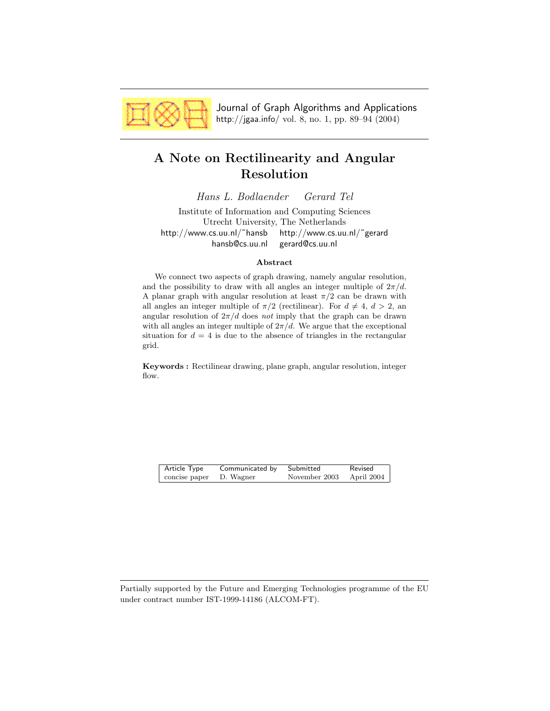

Journal of Graph Algorithms and Applications http://jgaa.info/ vol. 8, no. 1, pp. 89–94 (2004)

# **A Note on Rectilinearity and Angular Resolution**

*Hans L. Bodlaender Gerard Tel*

Institute of Information and Computing Sciences Utrecht University, The Netherlands http://www.cs.uu.nl/˜hansb http://www.cs.uu.nl/˜gerard hansb@cs.uu.nl gerard@cs.uu.nl

#### **Abstract**

We connect two aspects of graph drawing, namely angular resolution, and the possibility to draw with all angles an integer multiple of  $2\pi/d$ . A planar graph with angular resolution at least  $\pi/2$  can be drawn with all angles an integer multiple of  $\pi/2$  (rectilinear). For  $d \neq 4$ ,  $d > 2$ , an angular resolution of  $2\pi/d$  does *not* imply that the graph can be drawn with all angles an integer multiple of  $2\pi/d$ . We argue that the exceptional situation for  $d = 4$  is due to the absence of triangles in the rectangular grid.

**Keywords :** Rectilinear drawing, plane graph, angular resolution, integer flow.

| Article Type  | Communicated by | Submitted     | Revised    |
|---------------|-----------------|---------------|------------|
| concise paper | D. Wagner       | November 2003 | April 2004 |
|               |                 |               |            |

Partially supported by the Future and Emerging Technologies programme of the EU under contract number IST-1999-14186 (ALCOM-FT).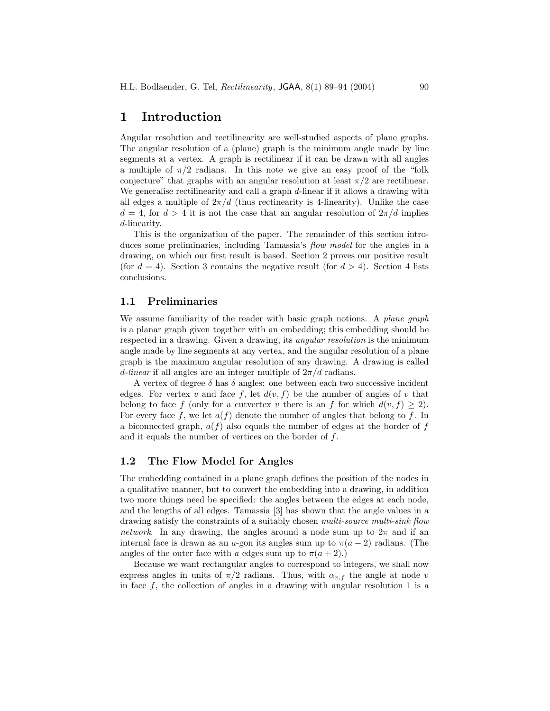### **1 Introduction**

Angular resolution and rectilinearity are well-studied aspects of plane graphs. The angular resolution of a (plane) graph is the minimum angle made by line segments at a vertex. A graph is rectilinear if it can be drawn with all angles a multiple of  $\pi/2$  radians. In this note we give an easy proof of the "folk" conjecture" that graphs with an angular resolution at least  $\pi/2$  are rectilinear. We generalise rectilinearity and call a graph  $d$ -linear if it allows a drawing with all edges a multiple of  $2\pi/d$  (thus rectinearity is 4-linearity). Unlike the case  $d = 4$ , for  $d > 4$  it is not the case that an angular resolution of  $2\pi/d$  implies d-linearity.

This is the organization of the paper. The remainder of this section introduces some preliminaries, including Tamassia's *flow model* for the angles in a drawing, on which our first result is based. Section 2 proves our positive result (for  $d = 4$ ). Section 3 contains the negative result (for  $d > 4$ ). Section 4 lists conclusions.

#### **1.1 Preliminaries**

We assume familiarity of the reader with basic graph notions. A *plane graph* is a planar graph given together with an embedding; this embedding should be respected in a drawing. Given a drawing, its *angular resolution* is the minimum angle made by line segments at any vertex, and the angular resolution of a plane graph is the maximum angular resolution of any drawing. A drawing is called d-linear if all angles are an integer multiple of  $2\pi/d$  radians.

A vertex of degree  $\delta$  has  $\delta$  angles: one between each two successive incident edges. For vertex v and face f, let  $d(v, f)$  be the number of angles of v that belong to face f (only for a cutvertex v there is an f for which  $d(v, f) \geq 2$ ). For every face f, we let  $a(f)$  denote the number of angles that belong to f. In a biconnected graph,  $a(f)$  also equals the number of edges at the border of f and it equals the number of vertices on the border of f.

### **1.2 The Flow Model for Angles**

The embedding contained in a plane graph defines the position of the nodes in a qualitative manner, but to convert the embedding into a drawing, in addition two more things need be specified: the angles between the edges at each node, and the lengths of all edges. Tamassia [3] has shown that the angle values in a drawing satisfy the constraints of a suitably chosen *multi-source multi-sink flow network*. In any drawing, the angles around a node sum up to  $2\pi$  and if an internal face is drawn as an a-gon its angles sum up to  $\pi(a-2)$  radians. (The angles of the outer face with a edges sum up to  $\pi(a+2)$ .)

Because we want rectangular angles to correspond to integers, we shall now express angles in units of  $\pi/2$  radians. Thus, with  $\alpha_{v,f}$  the angle at node v in face  $f$ , the collection of angles in a drawing with angular resolution 1 is a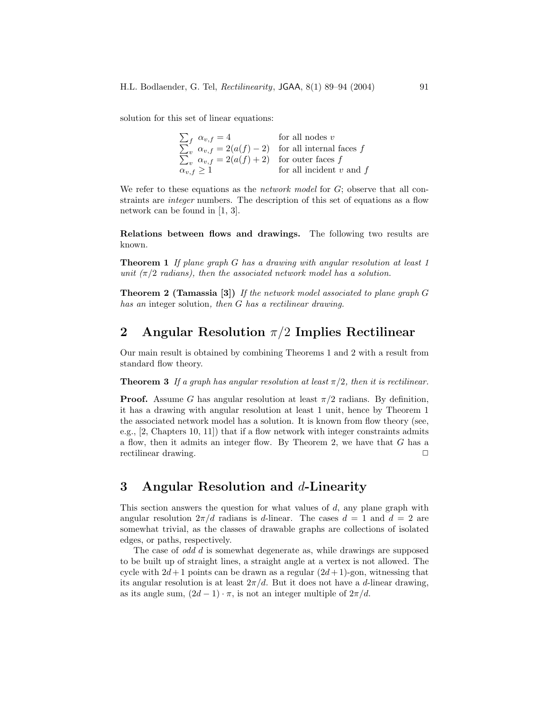solution for this set of linear equations:

| for all nodes $v$                                              |
|----------------------------------------------------------------|
| $\sum_{v} \alpha_{v,f} = 2(a(f) - 2)$ for all internal faces f |
| $\sum_{v} \alpha_{v,f} = 2(a(f) + 2)$ for outer faces f        |
| for all incident $v$ and $f$                                   |
|                                                                |

We refer to these equations as the *network model* for G; observe that all constraints are *integer* numbers. The description of this set of equations as a flow network can be found in [1, 3].

**Relations between flows and drawings.** The following two results are known.

**Theorem 1** *If plane graph* G *has a drawing with angular resolution at least 1 unit*  $(\pi/2 \text{ radians})$ , then the associated network model has a solution.

**Theorem 2 (Tamassia [3])** *If the network model associated to plane graph* G *has an* integer solution*, then* G *has a rectilinear drawing.*

### **2 Angular Resolution** π/2 **Implies Rectilinear**

Our main result is obtained by combining Theorems 1 and 2 with a result from standard flow theory.

**Theorem 3** If a graph has angular resolution at least  $\pi/2$ , then it is rectilinear.

**Proof.** Assume G has angular resolution at least  $\pi/2$  radians. By definition, it has a drawing with angular resolution at least 1 unit, hence by Theorem 1 the associated network model has a solution. It is known from flow theory (see, e.g., [2, Chapters 10, 11]) that if a flow network with integer constraints admits a flow, then it admits an integer flow. By Theorem 2, we have that G has a rectilinear drawing.

### **3 Angular Resolution and** d**-Linearity**

This section answers the question for what values of  $d$ , any plane graph with angular resolution  $2\pi/d$  radians is d-linear. The cases  $d = 1$  and  $d = 2$  are somewhat trivial, as the classes of drawable graphs are collections of isolated edges, or paths, respectively.

The case of *odd* d is somewhat degenerate as, while drawings are supposed to be built up of straight lines, a straight angle at a vertex is not allowed. The cycle with  $2d+1$  points can be drawn as a regular  $(2d+1)$ -gon, witnessing that its angular resolution is at least  $2\pi/d$ . But it does not have a d-linear drawing, as its angle sum,  $(2d - 1) \cdot \pi$ , is not an integer multiple of  $2\pi/d$ .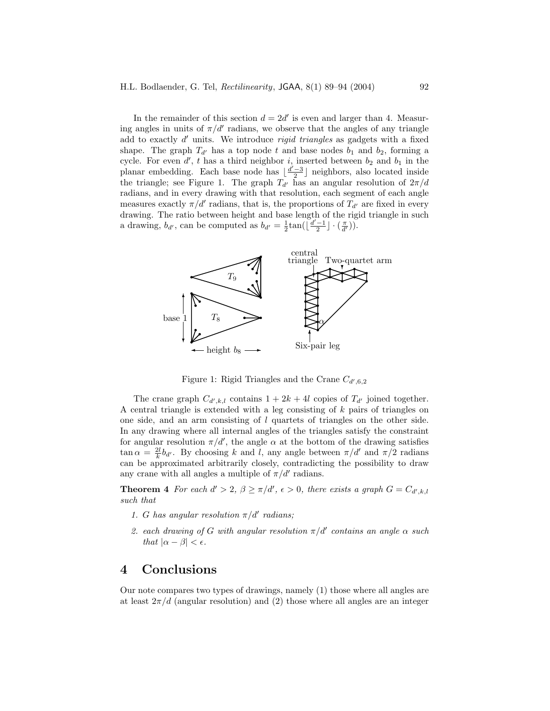In the remainder of this section  $d = 2d'$  is even and larger than 4. Measuring angles in units of  $\pi/d'$  radians, we observe that the angles of any triangle add to exactly  $d'$  units. We introduce *rigid triangles* as gadgets with a fixed shape. The graph  $T_{d'}$  has a top node t and base nodes  $b_1$  and  $b_2$ , forming a cycle. For even  $d'$ , t has a third neighbor i, inserted between  $b_2$  and  $b_1$  in the planar embedding. Each base node has  $\lfloor \frac{d'-3}{2} \rfloor$  neighbors, also located inside the triangle; see Figure 1. The graph  $T_{d'}$  has an angular resolution of  $2\pi/d$ radians, and in every drawing with that resolution, each segment of each angle measures exactly  $\pi/d'$  radians, that is, the proportions of  $T_{d'}$  are fixed in every drawing. The ratio between height and base length of the rigid triangle in such a drawing,  $b_{d'}$ , can be computed as  $b_{d'} = \frac{1}{2} \tan(\left[\frac{d'-1}{2}\right] \cdot \left(\frac{\pi}{d'}\right))$ .



Figure 1: Rigid Triangles and the Crane  $C_{d',6,2}$ 

The crane graph  $C_{d',k,l}$  contains  $1 + 2k + 4l$  copies of  $T_{d'}$  joined together. A central triangle is extended with a leg consisting of k pairs of triangles on one side, and an arm consisting of l quartets of triangles on the other side. In any drawing where all internal angles of the triangles satisfy the constraint for angular resolution  $\pi/d'$ , the angle  $\alpha$  at the bottom of the drawing satisfies  $\tan \alpha = \frac{2l}{k} b_{d'}$ . By choosing k and l, any angle between  $\pi/d'$  and  $\pi/2$  radians can be approximated arbitrarily closely, contradicting the possibility to draw any crane with all angles a multiple of  $\pi/d'$  radians.

**Theorem 4** *For each*  $d' > 2$ ,  $\beta \ge \pi/d'$ ,  $\epsilon > 0$ , there exists a graph  $G = C_{d',k,l}$ *such that*

- *1. G* has angular resolution  $\pi/d'$  radians;
- 2. each drawing of G with angular resolution  $\pi/d'$  contains an angle  $\alpha$  such *that*  $|\alpha - \beta| < \epsilon$ *.*

## **4 Conclusions**

Our note compares two types of drawings, namely (1) those where all angles are at least  $2\pi/d$  (angular resolution) and (2) those where all angles are an integer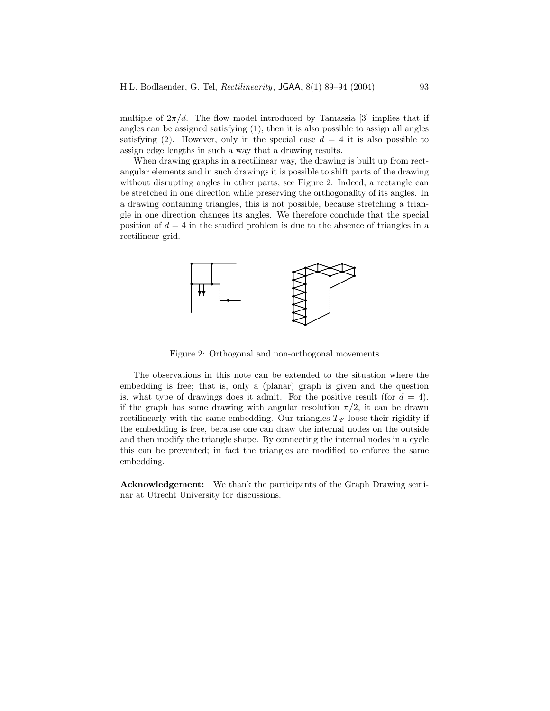multiple of  $2\pi/d$ . The flow model introduced by Tamassia [3] implies that if angles can be assigned satisfying (1), then it is also possible to assign all angles satisfying (2). However, only in the special case  $d = 4$  it is also possible to assign edge lengths in such a way that a drawing results.

When drawing graphs in a rectilinear way, the drawing is built up from rectangular elements and in such drawings it is possible to shift parts of the drawing without disrupting angles in other parts; see Figure 2. Indeed, a rectangle can be stretched in one direction while preserving the orthogonality of its angles. In a drawing containing triangles, this is not possible, because stretching a triangle in one direction changes its angles. We therefore conclude that the special position of  $d = 4$  in the studied problem is due to the absence of triangles in a rectilinear grid.



Figure 2: Orthogonal and non-orthogonal movements

The observations in this note can be extended to the situation where the embedding is free; that is, only a (planar) graph is given and the question is, what type of drawings does it admit. For the positive result (for  $d = 4$ ), if the graph has some drawing with angular resolution  $\pi/2$ , it can be drawn rectilinearly with the same embedding. Our triangles  $T_{d'}$  loose their rigidity if the embedding is free, because one can draw the internal nodes on the outside and then modify the triangle shape. By connecting the internal nodes in a cycle this can be prevented; in fact the triangles are modified to enforce the same embedding.

**Acknowledgement:** We thank the participants of the Graph Drawing seminar at Utrecht University for discussions.